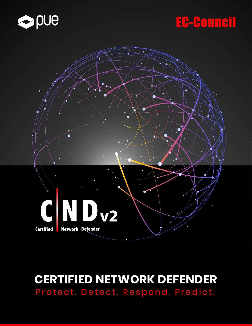

# EG-Gouneil



## **CERTIFIED NETWORK DEFENDER** Protect. Detect. Respond. Predict.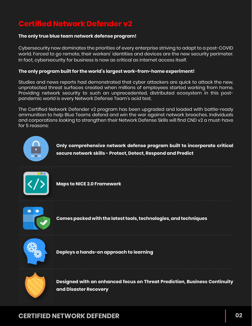### **Certified Network Defender v2**

#### **The only true blue team network defense program!**

Cybersecurity now dominates the priorities of every enterprise striving to adapt to a post-COVID world. Forced to go remote, their workers' identities and devices are the new security perimeter. In fact, cybersecurity for business is now as critical as internet access itself.

#### **The only program built for the world's largest work-from-home experiment!**

Studies and news reports had demonstrated that cyber attackers are quick to attack the new, unprotected threat surfaces created when millions of employees started working from home. Providing network security to such an unprecedented, distributed ecosystem in this postpandemic world is every Network Defense Team's acid test.

The Certified Network Defender v2 program has been upgraded and loaded with battle-ready ammunition to help Blue Teams defend and win the war against network breaches. Individuals and corporations looking to strengthen their Network Defense Skills will find CND v2 a must-have for 5 reasons:



**Only comprehensive network defense program built to incorporate critical secure network skills - Protect, Detect, Respond and Predict**



**Maps to NICE 2.0 Framework**



**Comes packed with the latest tools, technologies, and techniques**



**Deploys a hands-on approach to learning**



**Designed with an enhanced focus on Threat Prediction, Business Continuity and Disaster Recovery**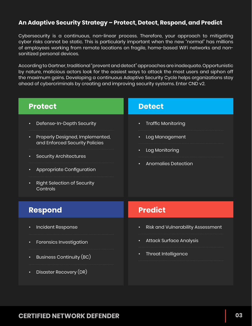### **An Adaptive Security Strategy – Protect, Detect, Respond, and Predict**

Cybersecurity is a continuous, non-linear process. Therefore, your approach to mitigating cyber risks cannot be static. This is particularly important when the new "normal" has millions of employees working from remote locations on fragile, home-based WiFi networks and nonsanitized personal devices.

According to Gartner, traditional "prevent and detect" approaches are inadequate. Opportunistic by nature, malicious actors look for the easiest ways to attack the most users and siphon off the maximum gains. Developing a continuous Adaptive Security Cycle helps organizations stay ahead of cybercriminals by creating and improving security systems. Enter CND v2.

| <b>Protect</b>                                                                                                                                                 | <b>Detect</b>                                         |
|----------------------------------------------------------------------------------------------------------------------------------------------------------------|-------------------------------------------------------|
| Defense-In-Depth Security<br>$\bullet$                                                                                                                         | <b>Traffic Monitoring</b>                             |
| Properly Designed, Implemented,<br>$\bullet$<br>and Enforced Security Policies<br><b>Security Architectures</b><br>٠<br>Appropriate Configuration<br>$\bullet$ | Log Management<br>٠                                   |
|                                                                                                                                                                | Log Monitoring<br>٠                                   |
|                                                                                                                                                                | <b>Anomalies Detection</b>                            |
| <b>Right Selection of Security</b><br>Controls                                                                                                                 |                                                       |
| <b>Respond</b>                                                                                                                                                 | <b>Predict</b>                                        |
| Incident Response<br>$\bullet$                                                                                                                                 | <b>Risk and Vulnerability Assessment</b><br>$\bullet$ |
| Forensics Investigation<br>о                                                                                                                                   | <b>Attack Surface Analysis</b><br>$\bullet$           |
| Business Continuity (BC)<br>$\bullet$                                                                                                                          | Threat Intelligence                                   |
| Disaster Recovery (DR)<br>$\bullet$                                                                                                                            |                                                       |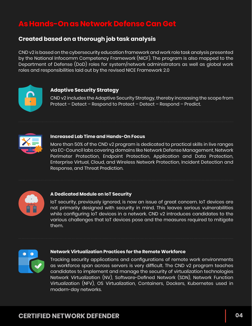### **As Hands-On as Network Defense Can Get**

### **Created based on a thorough job task analysis**

CND v2 is based on the cybersecurity education framework and work role task analysis presented by the National Infocomm Competency Framework (NICF). The program is also mapped to the Department of Defense (DoD) roles for system/network administrators as well as global work roles and responsibilities laid out by the revised NICE Framework 2.0



#### **Adaptive Security Strategy**

CND v2 includes the Adaptive Security Strategy, thereby increasing the scope from Protect – Detect – Respond to Protect – Detect – Respond – Predict.



#### **Increased Lab Time and Hands-On Focus**

More than 50% of the CND v2 program is dedicated to practical skills in live ranges via EC-Council labs covering domains like Network Defense Management, Network Perimeter Protection, Endpoint Protection, Application and Data Protection, Enterprise Virtual, Cloud, and Wireless Network Protection, Incident Detection and Response, and Threat Prediction.



#### **A Dedicated Module on IoT Security**

IoT security, previously ignored, is now an issue of great concern. IoT devices are not primarily designed with security in mind. This leaves serious vulnerabilities while configuring IoT devices in a network. CND v2 introduces candidates to the various challenges that IoT devices pose and the measures required to mitigate them.



#### **Network Virtualization Practices for the Remote Workforce**

Tracking security applications and configurations of remote work environments as workforce span across servers is very difficult. The CND v2 program teaches candidates to implement and manage the security of virtualization technologies Network Virtualization (NV), Software-Defined Network (SDN), Network Function Virtualization (NFV), OS Virtualization, Containers, Dockers, Kubernetes used in modern-day networks.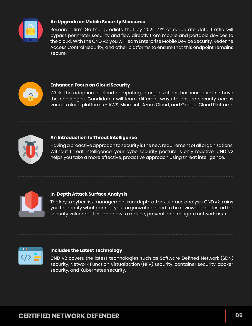

#### **An Upgrade on Mobile Security Measures**

Research firm Gartner predicts that by 2021, 27% of corporate data traffic will bypass perimeter security and flow directly from mobile and portable devices to the cloud. With the CND v2, you will learn Enterprise Mobile Device Security, Redefine Access Control Security, and other platforms to ensure that this endpoint remains secure.



#### **Enhanced Focus on Cloud Security**

While the adoption of cloud computing in organizations has increased, so have the challenges. Candidates will learn different ways to ensure security across various cloud platforms - AWS, Microsoft Azure Cloud, and Google Cloud Platform.



#### **An Introduction to Threat Intelligence**

Having a proactive approach to security is the new requirement of all organizations. Without threat intelligence, your cybersecurity posture is only reactive. CND v2 helps you take a more effective, proactive approach using threat intelligence.



#### **In−Depth Attack Surface Analysis**

The key to cyber risk management is in-depth attack surface analysis. CND v2 trains you to identify what parts of your organization need to be reviewed and tested for security vulnerabilities, and how to reduce, prevent, and mitigate network risks.



#### **Includes the Latest Technology**

CND v2 covers the latest technologies such as Software Defined Network (SDN) security, Network Function Virtualization (NFV) security, container security, docker security, and Kubernetes security.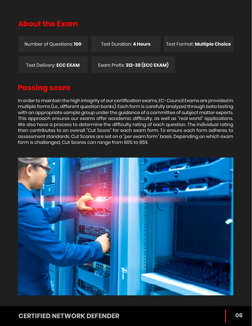### **About the Exam**

| Number of Questions: 100       | <b>Test Duration: 4 Hours</b>  | Test Format: Multiple Choice |
|--------------------------------|--------------------------------|------------------------------|
| <b>Test Delivery: ECC EXAM</b> | Exam Prefix: 312-38 (ECC EXAM) |                              |

### **Passing score**

In order to maintain the high integrity of our certification exams, EC-Council Exams are provided in multiple forms (i.e., different question banks). Each form is carefully analyzed through beta testing with an appropriate sample group under the guidance of a committee of subject matter experts. This approach ensures our exams offer academic difficulty, as well as "real world" applications. We also have a process to determine the difficulty rating of each question. The individual rating then contributes to an overall "Cut Score" for each exam form. To ensure each form adheres to assessment standards, Cut Scores are set on a "per exam form" basis. Depending on which exam form is challenged, Cut Scores can range from 60% to 85%

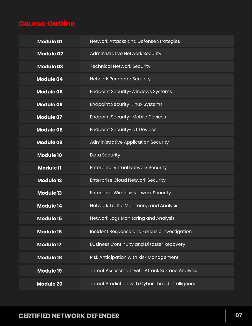### **Course Outline**

| <b>Module 01</b> | Network Attacks and Defense Strategies           |
|------------------|--------------------------------------------------|
| <b>Module 02</b> | Administrative Network Security                  |
| <b>Module 03</b> | <b>Technical Network Security</b>                |
| <b>Module 04</b> | <b>Network Perimeter Security</b>                |
| <b>Module 05</b> | Endpoint Security-Windows Systems                |
| <b>Module 06</b> | Endpoint Security-Linux Systems                  |
| <b>Module 07</b> | Endpoint Security- Mobile Devices                |
| <b>Module 08</b> | <b>Endpoint Security-IoT Devices</b>             |
| <b>Module 09</b> | Administrative Application Security              |
| <b>Module 10</b> | <b>Data Security</b>                             |
| <b>Module 11</b> | <b>Enterprise Virtual Network Security</b>       |
| <b>Module 12</b> | <b>Enterprise Cloud Network Security</b>         |
| <b>Module 13</b> | <b>Enterprise Wireless Network Security</b>      |
| <b>Module 14</b> | Network Traffic Monitoring and Analysis          |
| <b>Module 15</b> | Network Logs Monitoring and Analysis             |
| <b>Module 16</b> | Incident Response and Forensic Investigation     |
| <b>Module 17</b> | <b>Business Continuity and Disaster Recovery</b> |
| <b>Module 18</b> | Risk Anticipation with Risk Management           |
| <b>Module 19</b> | Threat Assessment with Attack Surface Analysis   |
| <b>Module 20</b> | Threat Prediction with Cyber Threat Intelligence |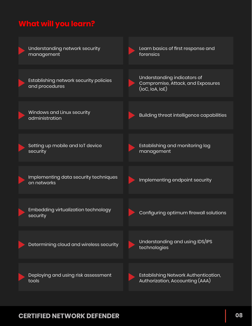### **What will you learn?**

| Understanding network security<br>management             | Learn basics of first response and<br>forensics                                           |
|----------------------------------------------------------|-------------------------------------------------------------------------------------------|
| Establishing network security policies<br>and procedures | Understanding indicators of<br>Compromise, Attack, and Exposures<br>$($ loC, loA, loE $)$ |
| Windows and Linux security<br>administration             | Building threat intelligence capabilities                                                 |
| Setting up mobile and IoT device<br>security             | Establishing and monitoring log<br>management                                             |
| Implementing data security techniques<br>on networks     | Implementing endpoint security                                                            |
| Embedding virtualization technology<br>security          | Configuring optimum firewall solutions                                                    |
| Determining cloud and wireless security                  | Understanding and using IDS/IPS<br>technologies                                           |
| Deploying and using risk assessment<br>tools             | Establishing Network Authentication,<br>Authorization, Accounting (AAA)                   |

### **CERTIFIED NETWORK DEFENDER 08**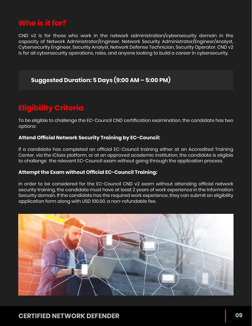### **Who is it for?**

CND v2 is for those who work in the network administration/cybersecurity domain in the capacity of Network Administrator/Engineer, Network Security Administrator/Engineer/Analyst, Cybersecurity Engineer, Security Analyst, Network Defense Technician, Security Operator. CND v2 is for all cybersecurity operations, roles, and anyone looking to build a career in cybersecurity.

### **Suggested Duration: 5 Days (9:00 AM – 5:00 PM)**

### **Eligibility Criteria**

To be eligible to challenge the EC-Council CND certification examination, the candidate has two options:

### **Attend Official Network Security Training by EC-Council:**

If a candidate has completed an official EC-Council training either at an Accredited Training Center, via the iClass platform, or at an approved academic institution, the candidate is eligible to challenge the relevant EC-Council exam without going through the application process.

#### **Attempt the Exam without Official EC-Council Training:**

In order to be considered for the EC-Council CND v2 exam without attending official network security training, the candidate must have at least 2 years of work experience in the Information Security domain. If the candidate has the required work experience, they can submit an eligibility application form along with USD 100.00, a non-refundable fee.

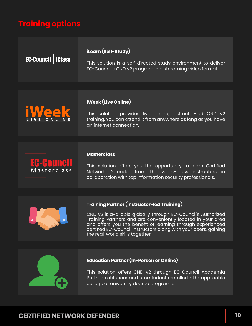### **Training options**

| <b>EC-Council   iClass</b> | iLearn (Self-Study)<br>This solution is a self-directed study environment to deliver<br>EC-Council's CND v2 program in a streaming video format.                                                                                                                                                                                                     |
|----------------------------|------------------------------------------------------------------------------------------------------------------------------------------------------------------------------------------------------------------------------------------------------------------------------------------------------------------------------------------------------|
|                            |                                                                                                                                                                                                                                                                                                                                                      |
| <b>iWeek</b>               | iWeek (Live Online)<br>This solution provides live, online, instructor-led CND v2<br>training. You can attend it from anywhere as long as you have<br>an internet connection.                                                                                                                                                                        |
|                            |                                                                                                                                                                                                                                                                                                                                                      |
| EC-Council                 | <b>Masterclass</b><br>This solution offers you the opportunity to learn Certified<br>Network Defender from the world-class instructors in<br>collaboration with top information security professionals.                                                                                                                                              |
|                            |                                                                                                                                                                                                                                                                                                                                                      |
|                            | <b>Training Partner (Instructor-led Training)</b><br>CND v2 is available globally through EC-Council's Authorized<br>Training Partners and are conveniently located in your area<br>and offers you the benefit of learning through experienced<br>certified EC-Council instructors along with your peers, gaining<br>the real-world skills together. |
|                            |                                                                                                                                                                                                                                                                                                                                                      |
|                            | Education Partner (In-Person or Online)                                                                                                                                                                                                                                                                                                              |

This solution offers CND v2 through EC-Council Academia Partner institutions and is for students enrolled in the applicable college or university degree programs.

ÍA.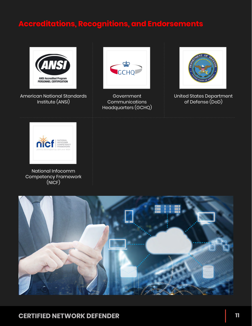### **Accreditations, Recognitions, and Endorsements**



American National Standards Institute (ANSI)



Government **Communications** Headquarters (GCHQ)



United States Department of Defense (DoD)



National Infocomm Competency Framework (NICF)

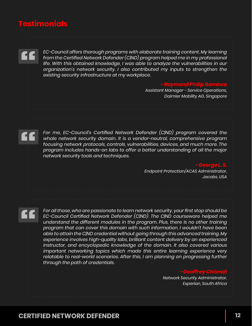### **Testimonials**

*EC-Council offers thorough programs with elaborate training content. My learning from the Certified Network Defender (C|ND) program helped me in my professional life. With this obtained knowledge, I was able to analyze the vulnerabilities in our organization's network security. I also contributed my inputs to strengthen the existing security infrastructure at my workplace.*

> *- Raymond Philip Gamboa Assistant Manager - Service Operations, Daimler Mobility AG, Singapore*

*For me, EC-Council's Certified Network Defender (C|ND) program covered the whole network security domain. It is a vendor-neutral, comprehensive program focusing network protocols, controls, vulnerabilities, devices, and much more. The program includes hands-on labs to offer a better understanding of all the major network security tools and techniques.* 

> *- George L. S. Endpoint Protection/ACAS Administrator, Jacobs, USA*

*For all those, who are passionate to learn network security, your first stop should be EC-Council Certified Network Defender (C|ND). The C|ND courseware helped me understand the different modules in the program. Plus, there is no other training program that can cover this domain with such information. I wouldn't have been able to attain the C|ND credential without going through this advanced training. My experience involves high-quality labs, brilliant content delivery by an experienced instructor, and encyclopedic knowledge of the domain. It also covered various important networking topics which made this entire learning experience very*  relatable to real-world scenarios. After this, I am planning on progressing further *through the path of credentials.*

#### *- Geoffrey Chisnall*

*Network Security Administrator, Experian, South Africa*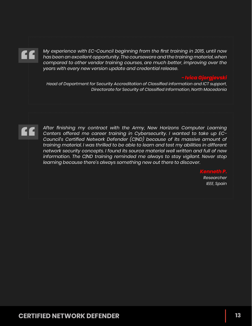*My experience with EC-Council beginning from the first training in 2015, until now has been an excellent opportunity. The courseware and the training material, when*  compared to other vendor training courses, are much better, improving over the *years with every new version update and credential release.*

*- Ivica Gjorgjevski*

*Head of Department for Security Accreditation of Classified information and ICT support, Directorate for Security of Classified Information, North Macedonia*

*After finishing my contract with the Army, New Horizons Computer Learning Centers offered me career training in Cybersecurity. I wanted to take up EC-Council's Certified Network Defender (C|ND) because of its massive amount of training material. I was thrilled to be able to learn and test my abilities in different network security concepts. I found its source material well written and full of new*  information. The C*IND training reminded me always to stay vigilant. Never stop learning because there's always something new out there to discover.*

> *Kenneth P. Researcher IEEE, Spain*